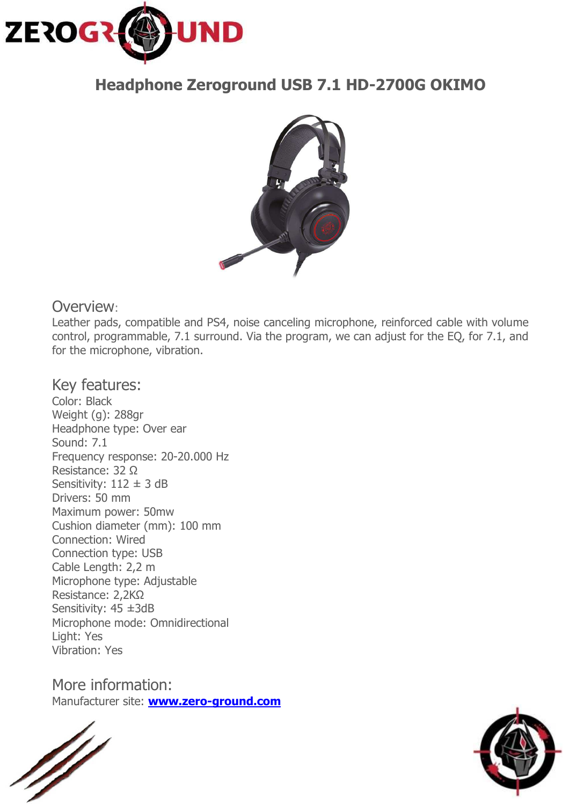

# **Headphone Zeroground USB 7.1 HD-2700G OKIMO**



## Overview:

Leather pads, compatible and PS4, noise canceling microphone, reinforced cable with volume control, programmable, 7.1 surround. Via the program, we can adjust for the EQ, for 7.1, and for the microphone, vibration.

Key features: Color: Black Weight (g): 288gr Headphone type: Over ear Sound: 7.1 Frequency response: 20-20.000 Hz Resistance: 32 Ω Sensitivity:  $112 \pm 3$  dB Drivers: 50 mm Maximum power: 50mw Cushion diameter (mm): 100 mm Connection: Wired Connection type: USB Cable Length: 2,2 m Microphone type: Adjustable Resistance: 2,2ΚΩ Sensitivity: 45 ±3dB Microphone mode: Omnidirectional Light: Yes Vibration: Yes

More information: Manufacturer site: **www.zero-ground.com**

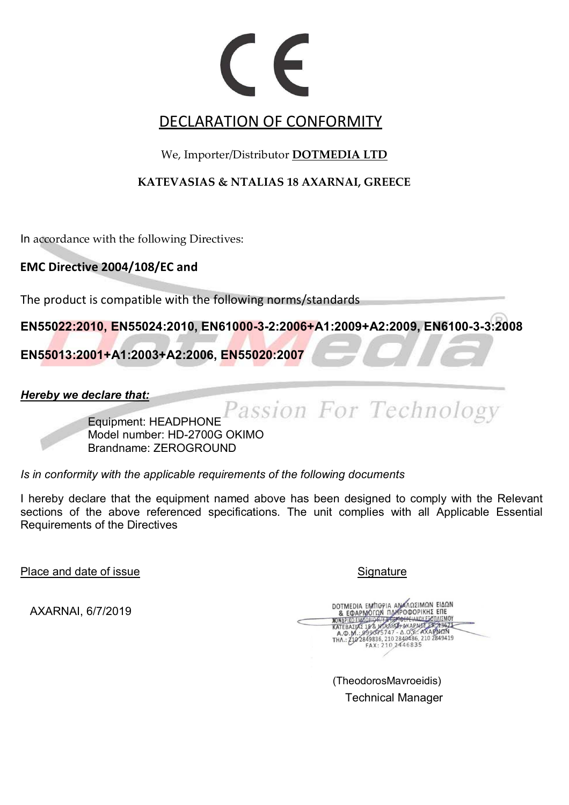## DECLARATION OF CONFORMITY

We, Importer/Distributor **DOTMEDIA LTD**

**KATEVASIAS & NTALIAS 18 AXARNAI, GREECE** 

In accordance with the following Directives:

**EMC Directive 2004/108/EC and** 

The product is compatible with the following norms/standards

**EN55022:2010, EN55024:2010, EN61000-3-2:2006+A1:2009+A2:2009, EN6100-3-3:2008** 

**EN55013:2001+A1:2003+A2:2006, EN55020:2007** 

*Hereby we declare that:*

Passion For Technology

Equipment: HEADPHONE Model number: HD-2700G OKIMO Brandname: ZEROGROUND

*Is in conformity with the applicable requirements of the following documents* 

I hereby declare that the equipment named above has been designed to comply with the Relevant sections of the above referenced specifications. The unit complies with all Applicable Essential Requirements of the Directives

Place and date of issue Signature Signature Signature Signature

AXARNAI, 6/7/2019

DOTMEDIA EMMOPIA AN ANITARIMON EIAON **TOEPEIAKOY ESOTIAIZMOY ENARGE PRESET KATEBAZIAZ 18'& MTAZ ARIEBALIAZ 18 % 167617-16.0 % AXAPNEN<br>THA: 210 2849836, 210 2840486, 210 2849419<br>FAX: 210 2446835** 

(TheodorosMavroeidis) Technical Manager